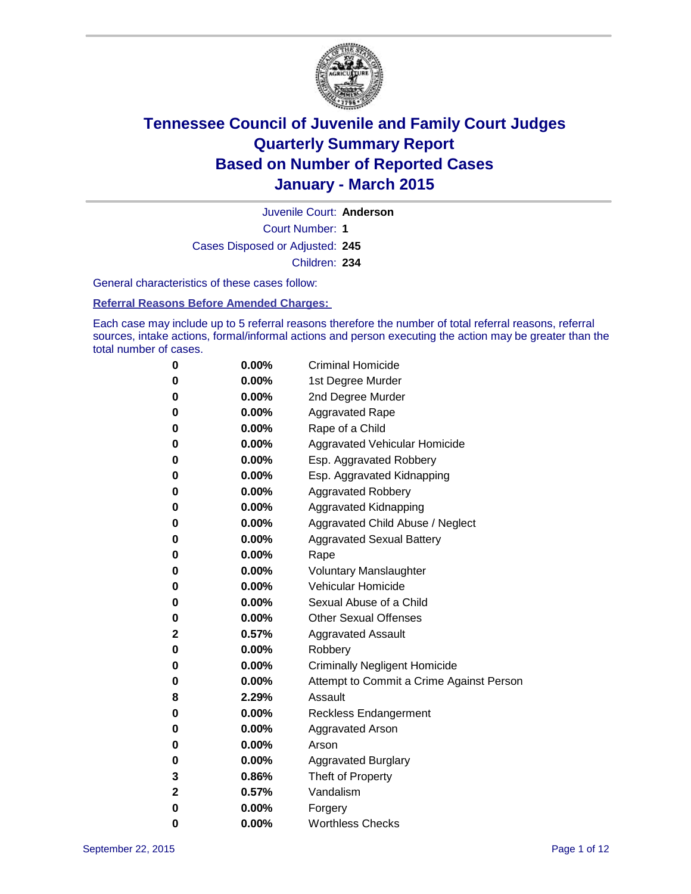

Court Number: **1** Juvenile Court: **Anderson** Cases Disposed or Adjusted: **245** Children: **234**

General characteristics of these cases follow:

**Referral Reasons Before Amended Charges:** 

Each case may include up to 5 referral reasons therefore the number of total referral reasons, referral sources, intake actions, formal/informal actions and person executing the action may be greater than the total number of cases.

| 0            | $0.00\%$ | <b>Criminal Homicide</b>                 |
|--------------|----------|------------------------------------------|
| $\bf{0}$     | $0.00\%$ | 1st Degree Murder                        |
| $\bf{0}$     | $0.00\%$ | 2nd Degree Murder                        |
| 0            | $0.00\%$ | <b>Aggravated Rape</b>                   |
| 0            | $0.00\%$ | Rape of a Child                          |
| 0            | $0.00\%$ | Aggravated Vehicular Homicide            |
| 0            | $0.00\%$ | Esp. Aggravated Robbery                  |
| 0            | $0.00\%$ | Esp. Aggravated Kidnapping               |
| 0            | 0.00%    | <b>Aggravated Robbery</b>                |
| 0            | $0.00\%$ | Aggravated Kidnapping                    |
| 0            | 0.00%    | Aggravated Child Abuse / Neglect         |
| 0            | 0.00%    | <b>Aggravated Sexual Battery</b>         |
| 0            | $0.00\%$ | Rape                                     |
| 0            | 0.00%    | <b>Voluntary Manslaughter</b>            |
| 0            | 0.00%    | <b>Vehicular Homicide</b>                |
| 0            | $0.00\%$ | Sexual Abuse of a Child                  |
| 0            | $0.00\%$ | <b>Other Sexual Offenses</b>             |
| $\mathbf{2}$ | 0.57%    | <b>Aggravated Assault</b>                |
| 0            | $0.00\%$ | Robbery                                  |
| 0            | $0.00\%$ | <b>Criminally Negligent Homicide</b>     |
| 0            | $0.00\%$ | Attempt to Commit a Crime Against Person |
| 8            | 2.29%    | Assault                                  |
| 0            | $0.00\%$ | <b>Reckless Endangerment</b>             |
| 0            | $0.00\%$ | <b>Aggravated Arson</b>                  |
| 0            | $0.00\%$ | Arson                                    |
| 0            | $0.00\%$ | <b>Aggravated Burglary</b>               |
| 3            | 0.86%    | Theft of Property                        |
| $\mathbf 2$  | 0.57%    | Vandalism                                |
| 0            | 0.00%    | Forgery                                  |
| 0            | $0.00\%$ | <b>Worthless Checks</b>                  |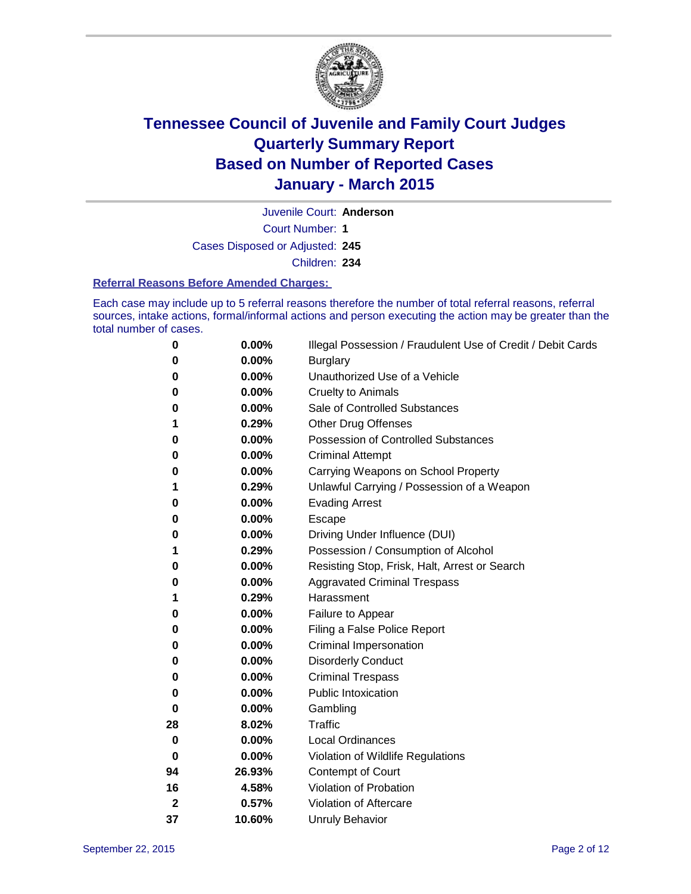

Juvenile Court: **Anderson**

Court Number: **1**

Cases Disposed or Adjusted: **245**

Children: **234**

#### **Referral Reasons Before Amended Charges:**

Each case may include up to 5 referral reasons therefore the number of total referral reasons, referral sources, intake actions, formal/informal actions and person executing the action may be greater than the total number of cases.

| 0           | $0.00\%$ | Illegal Possession / Fraudulent Use of Credit / Debit Cards |
|-------------|----------|-------------------------------------------------------------|
| 0           | 0.00%    | <b>Burglary</b>                                             |
| 0           | 0.00%    | Unauthorized Use of a Vehicle                               |
| 0           | 0.00%    | <b>Cruelty to Animals</b>                                   |
| 0           | 0.00%    | Sale of Controlled Substances                               |
| 1           | 0.29%    | <b>Other Drug Offenses</b>                                  |
| 0           | 0.00%    | Possession of Controlled Substances                         |
| 0           | 0.00%    | <b>Criminal Attempt</b>                                     |
| 0           | 0.00%    | Carrying Weapons on School Property                         |
| 1           | 0.29%    | Unlawful Carrying / Possession of a Weapon                  |
| 0           | 0.00%    | <b>Evading Arrest</b>                                       |
| 0           | 0.00%    | Escape                                                      |
| 0           | 0.00%    | Driving Under Influence (DUI)                               |
| 1           | 0.29%    | Possession / Consumption of Alcohol                         |
| 0           | 0.00%    | Resisting Stop, Frisk, Halt, Arrest or Search               |
| 0           | 0.00%    | <b>Aggravated Criminal Trespass</b>                         |
| 1           | 0.29%    | Harassment                                                  |
| 0           | 0.00%    | Failure to Appear                                           |
| 0           | 0.00%    | Filing a False Police Report                                |
| 0           | 0.00%    | Criminal Impersonation                                      |
| 0           | 0.00%    | <b>Disorderly Conduct</b>                                   |
| 0           | 0.00%    | <b>Criminal Trespass</b>                                    |
| 0           | $0.00\%$ | Public Intoxication                                         |
| 0           | 0.00%    | Gambling                                                    |
| 28          | 8.02%    | Traffic                                                     |
| 0           | 0.00%    | <b>Local Ordinances</b>                                     |
| 0           | 0.00%    | Violation of Wildlife Regulations                           |
| 94          | 26.93%   | Contempt of Court                                           |
| 16          | 4.58%    | Violation of Probation                                      |
| $\mathbf 2$ | 0.57%    | Violation of Aftercare                                      |
| 37          | 10.60%   | <b>Unruly Behavior</b>                                      |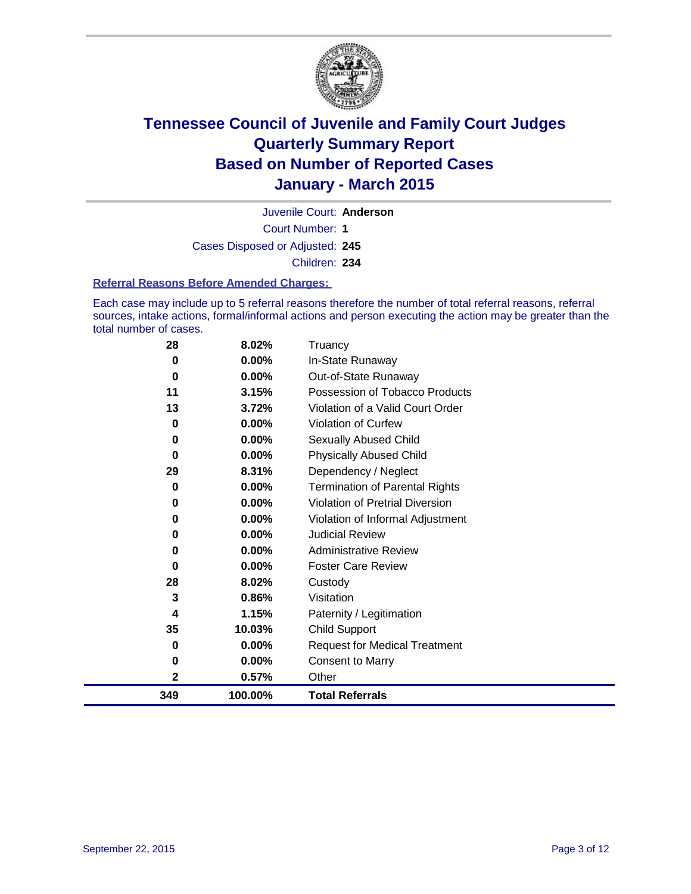

Court Number: **1** Juvenile Court: **Anderson** Cases Disposed or Adjusted: **245**

Children: **234**

### **Referral Reasons Before Amended Charges:**

Each case may include up to 5 referral reasons therefore the number of total referral reasons, referral sources, intake actions, formal/informal actions and person executing the action may be greater than the total number of cases.

| 28       | 8.02%    | Truancy                                |
|----------|----------|----------------------------------------|
| 0        | $0.00\%$ | In-State Runaway                       |
| 0        | $0.00\%$ | Out-of-State Runaway                   |
| 11       | 3.15%    | Possession of Tobacco Products         |
| 13       | 3.72%    | Violation of a Valid Court Order       |
| 0        | 0.00%    | <b>Violation of Curfew</b>             |
| 0        | $0.00\%$ | Sexually Abused Child                  |
| 0        | $0.00\%$ | <b>Physically Abused Child</b>         |
| 29       | 8.31%    | Dependency / Neglect                   |
| 0        | $0.00\%$ | <b>Termination of Parental Rights</b>  |
| 0        | $0.00\%$ | <b>Violation of Pretrial Diversion</b> |
| 0        | $0.00\%$ | Violation of Informal Adjustment       |
| 0        | $0.00\%$ | <b>Judicial Review</b>                 |
| 0        | $0.00\%$ | <b>Administrative Review</b>           |
| $\bf{0}$ | $0.00\%$ | <b>Foster Care Review</b>              |
| 28       | 8.02%    | Custody                                |
| 3        | 0.86%    | Visitation                             |
| 4        | 1.15%    | Paternity / Legitimation               |
| 35       | 10.03%   | <b>Child Support</b>                   |
| 0        | 0.00%    | <b>Request for Medical Treatment</b>   |
| 0        | 0.00%    | Consent to Marry                       |
| 2        | 0.57%    | Other                                  |
| 349      | 100.00%  | <b>Total Referrals</b>                 |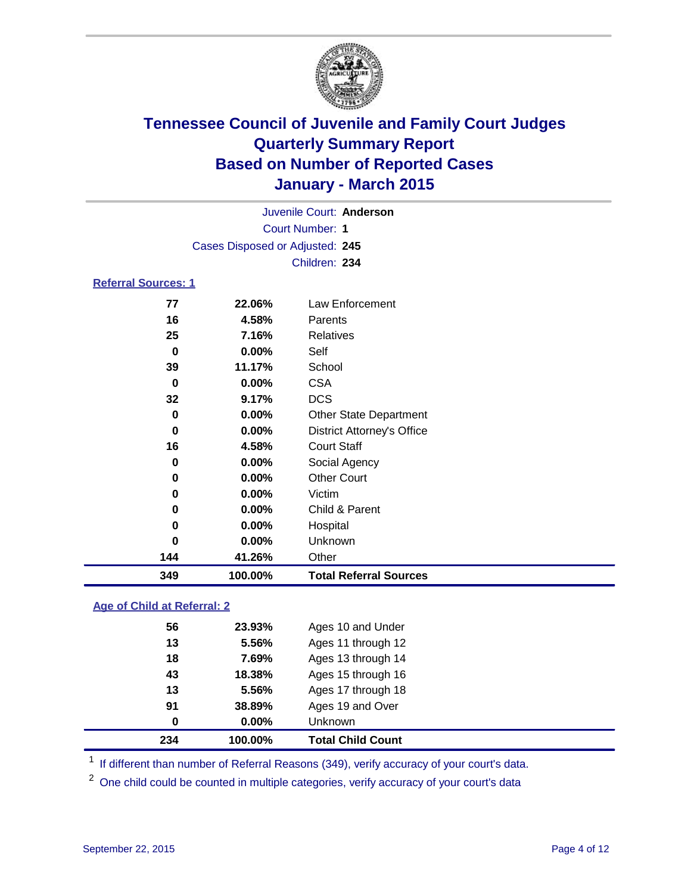

| Juvenile Court: Anderson        |  |
|---------------------------------|--|
| Court Number: 1                 |  |
| Cases Disposed or Adjusted: 245 |  |
| Children: 234                   |  |
| <b>Referral Sources: 1</b>      |  |

| 349 | 100.00%  | <b>Total Referral Sources</b>     |
|-----|----------|-----------------------------------|
| 144 | 41.26%   | Other                             |
| 0   | $0.00\%$ | Unknown                           |
| 0   | $0.00\%$ | Hospital                          |
| 0   | $0.00\%$ | Child & Parent                    |
| 0   | $0.00\%$ | Victim                            |
| 0   | $0.00\%$ | <b>Other Court</b>                |
| 0   | $0.00\%$ | Social Agency                     |
| 16  | 4.58%    | <b>Court Staff</b>                |
| 0   | $0.00\%$ | <b>District Attorney's Office</b> |
| 0   | $0.00\%$ | <b>Other State Department</b>     |
| 32  | 9.17%    | <b>DCS</b>                        |
| 0   | 0.00%    | <b>CSA</b>                        |
| 39  | 11.17%   | School                            |
| 0   | 0.00%    | Self                              |
| 25  | 7.16%    | Relatives                         |
| 16  | 4.58%    | Parents                           |
| 77  | 22.06%   | Law Enforcement                   |

### **Age of Child at Referral: 2**

| 234 | 100.00%  | <b>Total Child Count</b> |
|-----|----------|--------------------------|
| 0   | $0.00\%$ | Unknown                  |
| 91  | 38.89%   | Ages 19 and Over         |
| 13  | 5.56%    | Ages 17 through 18       |
| 43  | 18.38%   | Ages 15 through 16       |
| 18  | 7.69%    | Ages 13 through 14       |
| 13  | 5.56%    | Ages 11 through 12       |
| 56  | 23.93%   | Ages 10 and Under        |
|     |          |                          |

<sup>1</sup> If different than number of Referral Reasons (349), verify accuracy of your court's data.

One child could be counted in multiple categories, verify accuracy of your court's data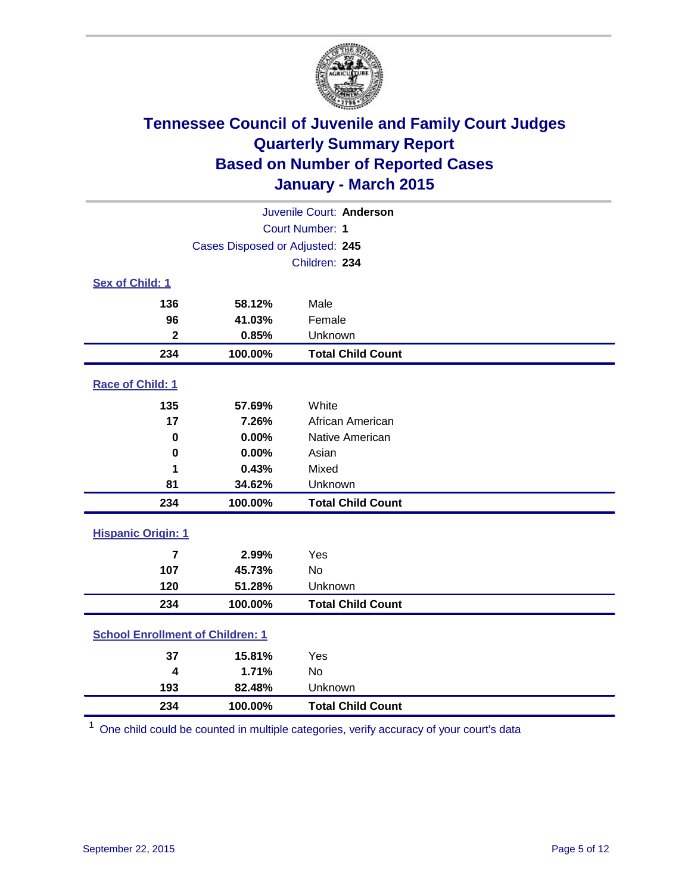

| Juvenile Court: Anderson                |         |                          |  |
|-----------------------------------------|---------|--------------------------|--|
| Court Number: 1                         |         |                          |  |
| Cases Disposed or Adjusted: 245         |         |                          |  |
|                                         |         | Children: 234            |  |
| Sex of Child: 1                         |         |                          |  |
| 136                                     | 58.12%  | Male                     |  |
| 96                                      | 41.03%  | Female                   |  |
| $\mathbf 2$                             | 0.85%   | Unknown                  |  |
| 234                                     | 100.00% | <b>Total Child Count</b> |  |
| Race of Child: 1                        |         |                          |  |
| 135                                     | 57.69%  | White                    |  |
| 17                                      | 7.26%   | African American         |  |
| $\bf{0}$                                | 0.00%   | Native American          |  |
| 0                                       | 0.00%   | Asian                    |  |
| 1                                       | 0.43%   | Mixed                    |  |
| 81                                      | 34.62%  | Unknown                  |  |
| 234                                     | 100.00% | <b>Total Child Count</b> |  |
| <b>Hispanic Origin: 1</b>               |         |                          |  |
| $\overline{7}$                          | 2.99%   | Yes                      |  |
| 107                                     | 45.73%  | No                       |  |
| 120                                     | 51.28%  | Unknown                  |  |
| 234                                     | 100.00% | <b>Total Child Count</b> |  |
| <b>School Enrollment of Children: 1</b> |         |                          |  |
| 37                                      | 15.81%  | Yes                      |  |
| 4                                       | 1.71%   | No                       |  |
| 193                                     | 82.48%  | Unknown                  |  |
| 234                                     | 100.00% | <b>Total Child Count</b> |  |

One child could be counted in multiple categories, verify accuracy of your court's data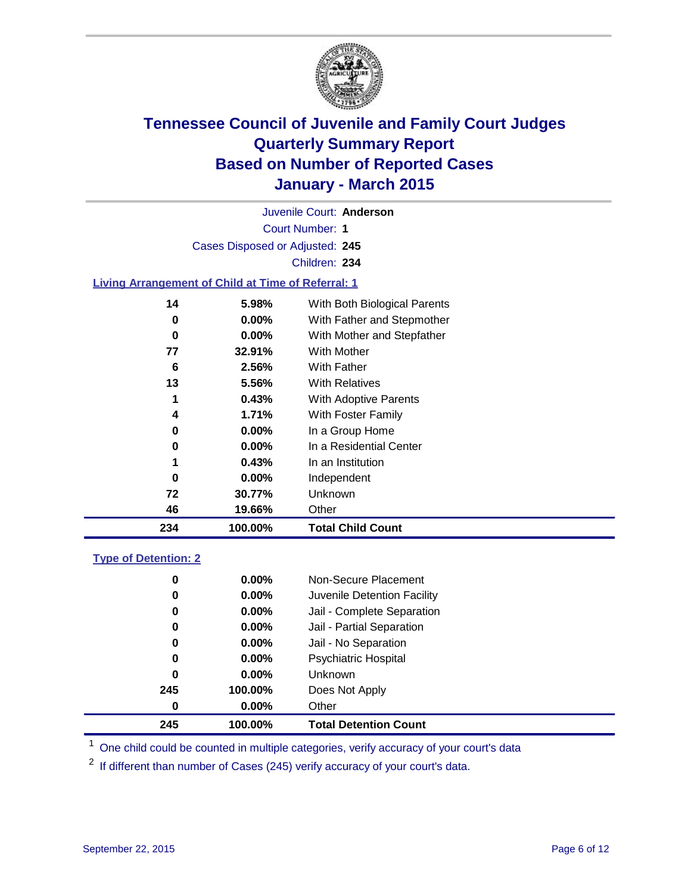

Court Number: **1** Juvenile Court: **Anderson** Cases Disposed or Adjusted: **245** Children: **234**

### **Living Arrangement of Child at Time of Referral: 1**

| 234 | 100.00%  | <b>Total Child Count</b>     |
|-----|----------|------------------------------|
| 46  | 19.66%   | Other                        |
| 72  | 30.77%   | Unknown                      |
| 0   | $0.00\%$ | Independent                  |
| 1   | 0.43%    | In an Institution            |
| 0   | $0.00\%$ | In a Residential Center      |
| 0   | $0.00\%$ | In a Group Home              |
| 4   | 1.71%    | With Foster Family           |
| 1   | 0.43%    | With Adoptive Parents        |
| 13  | 5.56%    | <b>With Relatives</b>        |
| 6   | 2.56%    | With Father                  |
| 77  | 32.91%   | <b>With Mother</b>           |
| 0   | $0.00\%$ | With Mother and Stepfather   |
| 0   | $0.00\%$ | With Father and Stepmother   |
| 14  | 5.98%    | With Both Biological Parents |
|     |          |                              |

### **Type of Detention: 2**

| 245 | 100.00%  | <b>Total Detention Count</b> |
|-----|----------|------------------------------|
| 0   | $0.00\%$ | Other                        |
| 245 | 100.00%  | Does Not Apply               |
| 0   | $0.00\%$ | Unknown                      |
| 0   | $0.00\%$ | <b>Psychiatric Hospital</b>  |
| 0   | $0.00\%$ | Jail - No Separation         |
| 0   | $0.00\%$ | Jail - Partial Separation    |
| 0   | $0.00\%$ | Jail - Complete Separation   |
| 0   | $0.00\%$ | Juvenile Detention Facility  |
| 0   | $0.00\%$ | Non-Secure Placement         |

<sup>1</sup> One child could be counted in multiple categories, verify accuracy of your court's data

If different than number of Cases (245) verify accuracy of your court's data.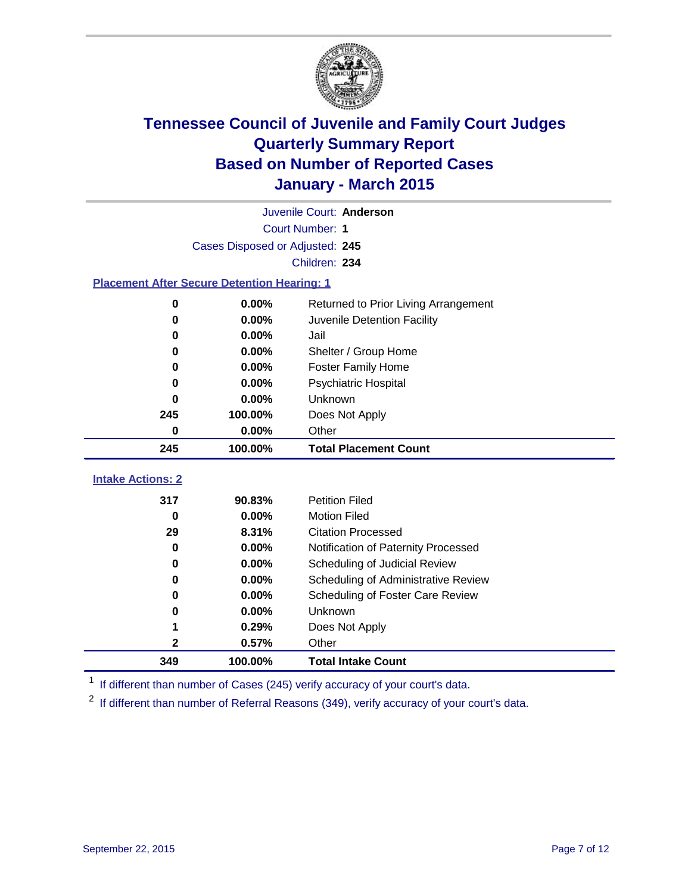

|                                                    |                                 | Juvenile Court: Anderson             |
|----------------------------------------------------|---------------------------------|--------------------------------------|
|                                                    |                                 | <b>Court Number: 1</b>               |
|                                                    | Cases Disposed or Adjusted: 245 |                                      |
|                                                    |                                 | Children: 234                        |
| <b>Placement After Secure Detention Hearing: 1</b> |                                 |                                      |
| $\bf{0}$                                           | 0.00%                           | Returned to Prior Living Arrangement |
| 0                                                  | 0.00%                           | Juvenile Detention Facility          |
| 0                                                  | $0.00\%$                        | Jail                                 |
| 0                                                  | 0.00%                           | Shelter / Group Home                 |
| 0                                                  | $0.00\%$                        | <b>Foster Family Home</b>            |
| 0                                                  | 0.00%                           | <b>Psychiatric Hospital</b>          |
| 0                                                  | 0.00%                           | Unknown                              |
| 245                                                | 100.00%                         | Does Not Apply                       |
| 0                                                  | 0.00%                           | Other                                |
| 245                                                | 100.00%                         | <b>Total Placement Count</b>         |
| <b>Intake Actions: 2</b>                           |                                 |                                      |
| 317                                                | 90.83%                          | <b>Petition Filed</b>                |
| $\bf{0}$                                           | 0.00%                           | <b>Motion Filed</b>                  |
| 29                                                 | 8.31%                           | <b>Citation Processed</b>            |
| 0                                                  | 0.00%                           | Notification of Paternity Processed  |
| 0                                                  | $0.00\%$                        | Scheduling of Judicial Review        |
| 0                                                  | 0.00%                           | Scheduling of Administrative Review  |
| 0                                                  | 0.00%                           | Scheduling of Foster Care Review     |
| 0                                                  | 0.00%                           | Unknown                              |
| 1                                                  | 0.29%                           | Does Not Apply                       |
| 2                                                  | 0.57%                           | Other                                |
| 349                                                | 100.00%                         | <b>Total Intake Count</b>            |

<sup>1</sup> If different than number of Cases (245) verify accuracy of your court's data.

<sup>2</sup> If different than number of Referral Reasons (349), verify accuracy of your court's data.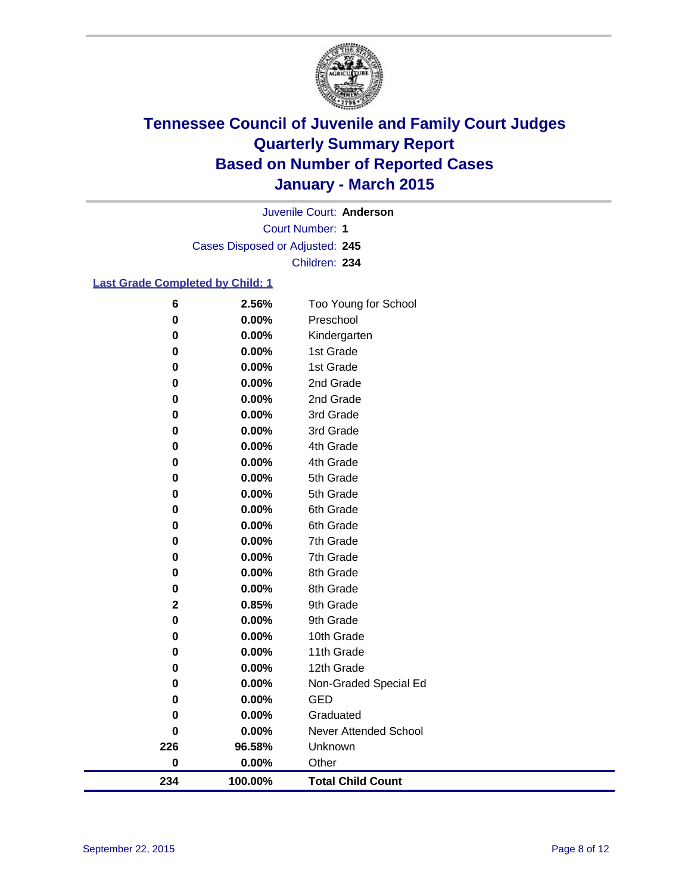

Court Number: **1** Juvenile Court: **Anderson** Cases Disposed or Adjusted: **245** Children: **234**

### **Last Grade Completed by Child: 1**

| 234         | 100.00%        | <b>Total Child Count</b>          |
|-------------|----------------|-----------------------------------|
| $\bf{0}$    | 0.00%          | Other                             |
| 226         | 96.58%         | Unknown                           |
| $\bf{0}$    | 0.00%          | Never Attended School             |
| $\bf{0}$    | 0.00%          | Graduated                         |
| 0           | 0.00%          | <b>GED</b>                        |
| 0           | 0.00%          | Non-Graded Special Ed             |
| 0           | 0.00%          | 12th Grade                        |
| 0           | 0.00%          | 11th Grade                        |
| $\bf{0}$    | 0.00%          | 10th Grade                        |
| $\bf{0}$    | 0.00%          | 9th Grade                         |
| $\mathbf 2$ | 0.85%          | 9th Grade                         |
| $\pmb{0}$   | 0.00%          | 8th Grade                         |
| 0           | 0.00%          | 8th Grade                         |
| 0           | 0.00%          | 7th Grade                         |
| 0           | 0.00%          | 7th Grade                         |
| 0           | 0.00%          | 6th Grade                         |
| 0           | 0.00%          | 6th Grade                         |
| 0           | 0.00%          | 5th Grade                         |
| $\bf{0}$    | 0.00%          | 5th Grade                         |
| 0           | 0.00%          | 4th Grade                         |
| $\pmb{0}$   | 0.00%          | 4th Grade                         |
| $\pmb{0}$   | 0.00%          | 3rd Grade                         |
| 0           | 0.00%          | 3rd Grade                         |
| 0           | 0.00%          | 2nd Grade                         |
| 0           | 0.00%          | 2nd Grade                         |
| 0           | 0.00%          | 1st Grade                         |
| $\pmb{0}$   | 0.00%          | Kindergarten<br>1st Grade         |
| 0           | 0.00%<br>0.00% |                                   |
| $\pmb{0}$   |                | Too Young for School<br>Preschool |
| 6           | 2.56%          |                                   |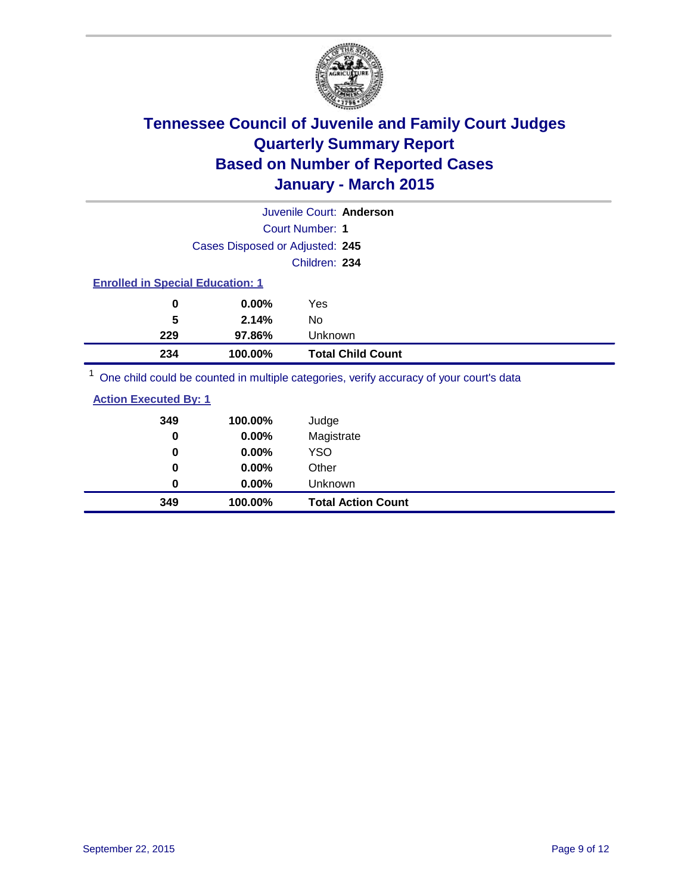

|                                         |                                 | Juvenile Court: Anderson                                                                                       |  |
|-----------------------------------------|---------------------------------|----------------------------------------------------------------------------------------------------------------|--|
|                                         |                                 | Court Number: 1                                                                                                |  |
|                                         | Cases Disposed or Adjusted: 245 |                                                                                                                |  |
|                                         |                                 | Children: 234                                                                                                  |  |
| <b>Enrolled in Special Education: 1</b> |                                 |                                                                                                                |  |
| 0                                       | $0.00\%$                        | Yes                                                                                                            |  |
| 5                                       | 2.14%                           | No                                                                                                             |  |
| 229                                     | 97.86%                          | Unknown                                                                                                        |  |
| 234                                     | 100.00%                         | <b>Total Child Count</b>                                                                                       |  |
|                                         |                                 | . On a called a could be a consequent to model a contraction of the consequence of consequents along the $\mu$ |  |

<sup>1</sup> One child could be counted in multiple categories, verify accuracy of your court's data

| <b>Action Executed By: 1</b> |
|------------------------------|
|------------------------------|

| 349<br>0 | 100.00%<br>0.00% | Judge<br>Magistrate       |
|----------|------------------|---------------------------|
| 0        | $0.00\%$         | <b>YSO</b>                |
| $\bf{0}$ | $0.00\%$         | Other                     |
| 0        | $0.00\%$         | Unknown                   |
| 349      | 100.00%          | <b>Total Action Count</b> |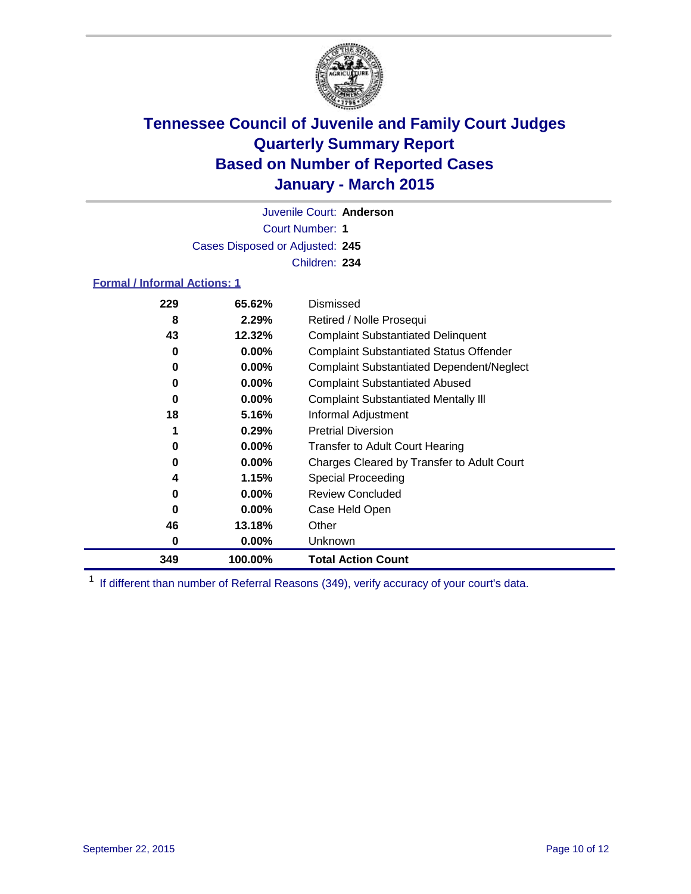

Court Number: **1** Juvenile Court: **Anderson** Cases Disposed or Adjusted: **245** Children: **234**

### **Formal / Informal Actions: 1**

| 229 | 65.62%   | Dismissed                                        |
|-----|----------|--------------------------------------------------|
| 8   | 2.29%    | Retired / Nolle Prosequi                         |
| 43  | 12.32%   | <b>Complaint Substantiated Delinquent</b>        |
| 0   | $0.00\%$ | <b>Complaint Substantiated Status Offender</b>   |
| 0   | $0.00\%$ | <b>Complaint Substantiated Dependent/Neglect</b> |
| 0   | $0.00\%$ | <b>Complaint Substantiated Abused</b>            |
| 0   | $0.00\%$ | <b>Complaint Substantiated Mentally III</b>      |
| 18  | 5.16%    | Informal Adjustment                              |
|     | 0.29%    | <b>Pretrial Diversion</b>                        |
| 0   | $0.00\%$ | <b>Transfer to Adult Court Hearing</b>           |
| 0   | $0.00\%$ | Charges Cleared by Transfer to Adult Court       |
| 4   | 1.15%    | Special Proceeding                               |
| 0   | $0.00\%$ | <b>Review Concluded</b>                          |
| 0   | $0.00\%$ | Case Held Open                                   |
| 46  | 13.18%   | Other                                            |
| 0   | $0.00\%$ | Unknown                                          |
| 349 | 100.00%  | <b>Total Action Count</b>                        |

<sup>1</sup> If different than number of Referral Reasons (349), verify accuracy of your court's data.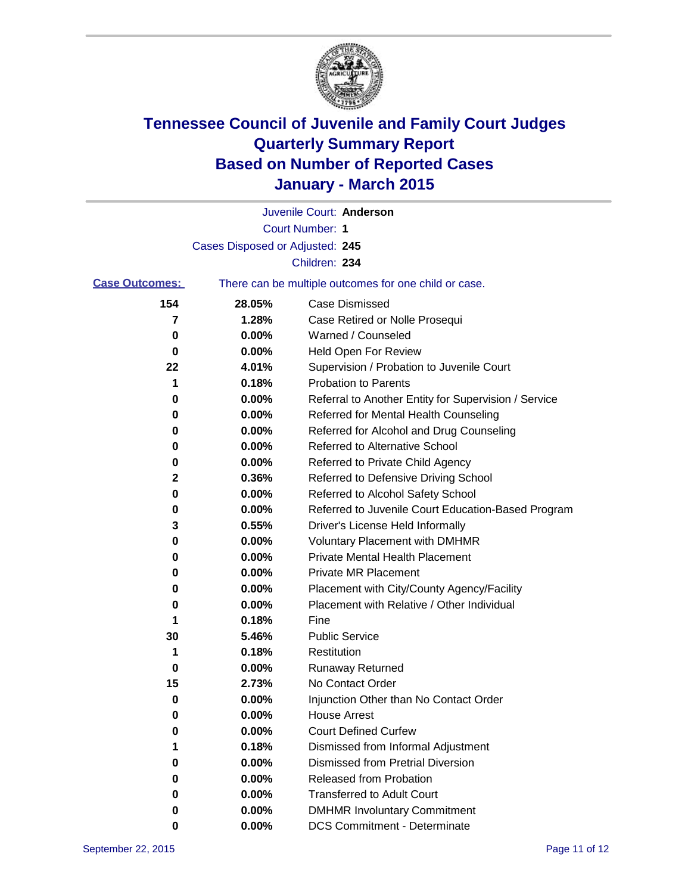

|                       |                                 | Juvenile Court: Anderson                              |
|-----------------------|---------------------------------|-------------------------------------------------------|
|                       |                                 | <b>Court Number: 1</b>                                |
|                       | Cases Disposed or Adjusted: 245 |                                                       |
|                       |                                 | Children: 234                                         |
| <b>Case Outcomes:</b> |                                 | There can be multiple outcomes for one child or case. |
| 154                   | 28.05%                          | <b>Case Dismissed</b>                                 |
| 7                     | 1.28%                           | Case Retired or Nolle Prosequi                        |
| 0                     | 0.00%                           | Warned / Counseled                                    |
| 0                     | 0.00%                           | Held Open For Review                                  |
| 22                    | 4.01%                           | Supervision / Probation to Juvenile Court             |
| 1                     | 0.18%                           | <b>Probation to Parents</b>                           |
| 0                     | 0.00%                           | Referral to Another Entity for Supervision / Service  |
| 0                     | 0.00%                           | Referred for Mental Health Counseling                 |
| 0                     | 0.00%                           | Referred for Alcohol and Drug Counseling              |
| 0                     | 0.00%                           | Referred to Alternative School                        |
| 0                     | 0.00%                           | Referred to Private Child Agency                      |
| 2                     | 0.36%                           | Referred to Defensive Driving School                  |
| 0                     | 0.00%                           | Referred to Alcohol Safety School                     |
| 0                     | 0.00%                           | Referred to Juvenile Court Education-Based Program    |
| 3                     | 0.55%                           | Driver's License Held Informally                      |
| 0                     | 0.00%                           | <b>Voluntary Placement with DMHMR</b>                 |
| 0                     | 0.00%                           | <b>Private Mental Health Placement</b>                |
| 0                     | 0.00%                           | <b>Private MR Placement</b>                           |
| 0                     | 0.00%                           | Placement with City/County Agency/Facility            |
| 0                     | 0.00%                           | Placement with Relative / Other Individual            |
| 1                     | 0.18%                           | Fine                                                  |
| 30                    | 5.46%                           | <b>Public Service</b>                                 |
| 1                     | 0.18%                           | Restitution                                           |
| 0                     | 0.00%                           | <b>Runaway Returned</b>                               |
| 15                    | 2.73%                           | No Contact Order                                      |
| 0                     | 0.00%                           | Injunction Other than No Contact Order                |
| 0                     | 0.00%                           | <b>House Arrest</b>                                   |
| 0                     | 0.00%                           | <b>Court Defined Curfew</b>                           |
|                       | 0.18%                           | Dismissed from Informal Adjustment                    |
| 0                     | 0.00%                           | <b>Dismissed from Pretrial Diversion</b>              |
| 0                     | 0.00%                           | Released from Probation                               |
| 0                     | $0.00\%$                        | <b>Transferred to Adult Court</b>                     |
| 0                     | 0.00%                           | <b>DMHMR Involuntary Commitment</b>                   |
| 0                     | 0.00%                           | <b>DCS Commitment - Determinate</b>                   |